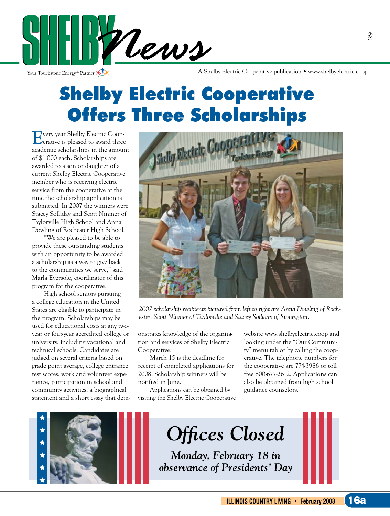

Your Touchstone Energy® Partner

A Shelby Electric Cooperative publication • www.shelbyelectric.coop

## Shelby Electric Cooperative Offers Three Scholarships

**E**very year Shelby Electric Coop-erative is pleased to award three academic scholarships in the amount of \$1,000 each. Scholarships are awarded to a son or daughter of a current Shelby Electric Cooperative member who is receiving electric service from the cooperative at the time the scholarship application is submitted. In 2007 the winners were Stacey Solliday and Scott Ninmer of Taylorville High School and Anna Dowling of Rochester High School.

"We are pleased to be able to provide these outstanding students with an opportunity to be awarded a scholarship as a way to give back to the communities we serve," said Marla Eversole, coordinator of this program for the cooperative.

High school seniors pursuing a college education in the United States are eligible to participate in the program. Scholarships may be used for educational costs at any twoyear or four-year accredited college or university, including vocational and technical schools. Candidates are judged on several criteria based on grade point average, college entrance test scores, work and volunteer experience, participation in school and community activities, a biographical statement and a short essay that dem-



*2007 scholarship recipients pictured from left to right are Anna Dowling of Rochester, Scott Ninmer of Taylorville and Stacey Solliday of Stonington.*

onstrates knowledge of the organization and services of Shelby Electric Cooperative.

March 15 is the deadline for receipt of completed applications for 2008. Scholarship winners will be notified in June.

Applications can be obtained by visiting the Shelby Electric Cooperative website www.shelbyelectric.coop and looking under the "Our Community" menu tab or by calling the cooperative. The telephone numbers for the cooperative are 774-3986 or toll free 800-677-2612. Applications can also be obtained from high school guidance counselors.

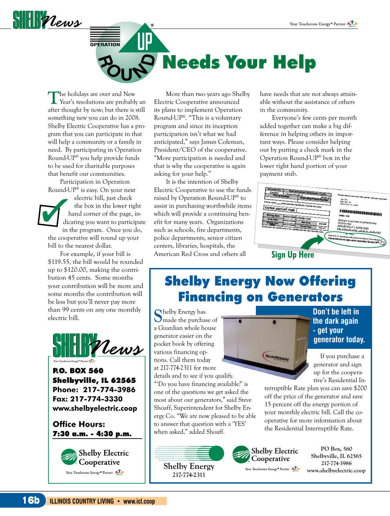

# **OPERATION** Needs Your Help

The holidays are over and New Year's resolutions are probably an after thought by now; but there is still something new you can do in 2008. Shelby Electric Cooperative has a program that you can participate in that will help a community or a family in need. By participating in Operation Round-UP® you help provide funds to be used for charitable purposes that benefit our communities.

Participation in Operation Round-UP® is easy. On your next

electric bill, just check the box in the lower right hand corner of the page, indicating you want to participate in the program. Once you do,

the cooperative will round up your bill to the nearest dollar.

For example, if your bill is \$119.55, the bill would be rounded up to \$120.00, making the contribution 45 cents. Some months your contribution will be more and some months the contribution will be less but you'll never pay more than 99 cents on any one monthly electric bill.



P.O. BOX 560 Shelbyville, IL 62565 **Phone: 217-774-3986 Fax: 217-774-3330 www.shelbyelectric.coop**

**Office Hours:**  7:30 a.m. - 4:30 p.m.



More than two years ago Shelby Electric Cooperative announced its plans to implement Operation Round-UP®. "This is a voluntary program and since its inception participation isn't what we had anticipated," says James Coleman, President/CEO of the cooperative. "More participation is needed and that is why the cooperative is again asking for your help."

It is the intention of Shelby Electric Cooperative to use the funds raised by Operation Round-UP® to assist in purchasing worthwhile items which will provide a continuing benefit for many years. Organizations such as schools, fire departments, police departments, senior citizen centers, libraries, hospitals, the American Red Cross and others all

have needs that are not always attainable without the assistance of others in the community.

Everyone's few cents per month added together can make a big difference in helping others in important ways. Please consider helping out by putting a check mark in the Operation Round-UP® box in the lower right hand portion of your payment stub.



#### Shelby Energy Now Offering Financing on Generators

**S**helby Energy has made the purchase of a Guardian whole house generator easier on the pocket book by offering various financing options. Call them today at 217-774-2311 for more details and to see if you qualify.

"'Do you have financing available?' is one of the questions we get asked the most about our generators," said Steve Shoaff, Superintendent for Shelby Energy Co. "We are now pleased to be able to answer that question with a 'YES' when asked," added Shoaff.



**Don't be left in the dark again ‑ get your generator today.**

If you purchase a generator and sign up for the cooperative's Residential In-

terruptible Rate plan you can save \$200 off the price of the generator and save 15 percent off the energy portion of your monthly electric bill. Call the cooperative for more information about the Residential Interruptible Rate.



**PO Box, 560 Shelbyville, IL 62565 217-774-3986 www.shelbyelectric.coop**

**Shelby Energy 217-774-2311**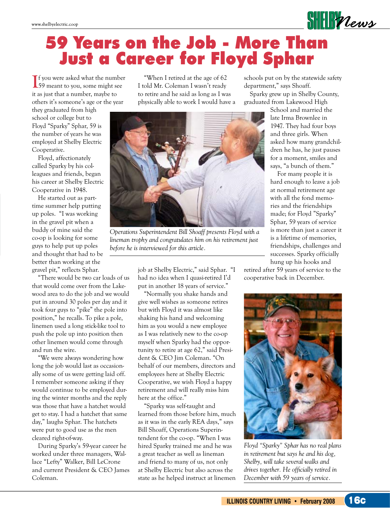## 59 Years on the Job - More Than Just a Career for Floyd Sphar

**I**<sup>f</sup> you were asked what the number 59 meant to you, some might see f you were asked what the number it as just that a number, maybe to others it's someone's age or the year

they graduated from high school or college but to Floyd "Sparky" Sphar, 59 is the number of years he was employed at Shelby Electric Cooperative.

Floyd, affectionately called Sparky by his colleagues and friends, began his career at Shelby Electric Cooperative in 1948.

He started out as parttime summer help putting up poles. "I was working in the gravel pit when a buddy of mine said the co-op is looking for some guys to help put up poles and thought that had to be better than working at the gravel pit," reflects Sphar.

"There would be two car loads of us that would come over from the Lakewood area to do the job and we would put in around 30 poles per day and it took four guys to "pike" the pole into position," he recalls. To pike a pole, linemen used a long stick-like tool to push the pole up into position then other linemen would come through and run the wire.

"We were always wondering how long the job would last as occasionally some of us were getting laid off. I remember someone asking if they would continue to be employed during the winter months and the reply was those that have a hatchet would get to stay. I had a hatchet that same day," laughs Sphar. The hatchets were put to good use as the men cleared right-of-way.

During Sparky's 59-year career he worked under three managers, Wallace "Lefty" Walker, Bill LeCrone and current President & CEO James Coleman.

"When I retired at the age of 62 I told Mr. Coleman I wasn't ready to retire and he said as long as I was physically able to work I would have a



*Operations Superintendent Bill Shoaff presents Floyd with a lineman trophy and congratulates him on his retirement just before he is interviewed for this article.*

job at Shelby Electric," said Sphar. "I had no idea when I quasi-retired I'd put in another 18 years of service."

"Normally you shake hands and give well wishes as someone retires but with Floyd it was almost like shaking his hand and welcoming him as you would a new employee as I was relatively new to the co-op myself when Sparky had the opportunity to retire at age 62," said President & CEO Jim Coleman. "On behalf of our members, directors and employees here at Shelby Electric Cooperative, we wish Floyd a happy retirement and will really miss him here at the office."

"Sparky was self-taught and learned from those before him, much as it was in the early REA days," says Bill Shoaff, Operations Superintendent for the co-op. "When I was hired Sparky trained me and he was a great teacher as well as lineman and friend to many of us, not only at Shelby Electric but also across the state as he helped instruct at linemen schools put on by the statewide safety department," says Shoaff.

Sparky grew up in Shelby County, graduated from Lakewood High

> School and married the late Irma Brownlee in 1947. They had four boys and three girls. When asked how many grandchildren he has, he just pauses for a moment, smiles and says, "a bunch of them."

 $\frac{1}{2}$ 

For many people it is hard enough to leave a job at normal retirement age with all the fond memories and the friendships made; for Floyd "Sparky" Sphar, 59 years of service is more than just a career it is a lifetime of memories, friendships, challenges and successes. Sparky officially hung up his hooks and

retired after 59 years of service to the cooperative back in December.



*Floyd "Sparky" Sphar has no real plans in retirement but says he and his dog, Shelby, will take several walks and drives together. He officially retired in December with 59 years of service.*